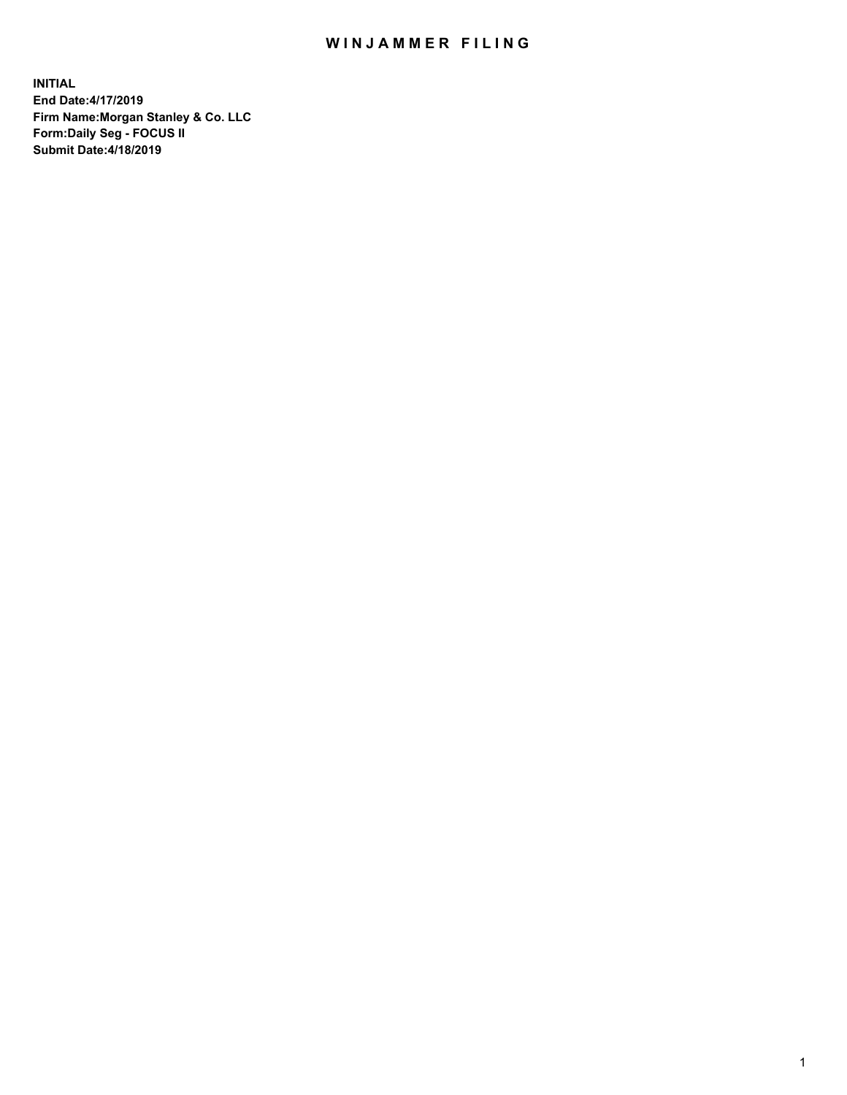## WIN JAMMER FILING

**INITIAL End Date:4/17/2019 Firm Name:Morgan Stanley & Co. LLC Form:Daily Seg - FOCUS II Submit Date:4/18/2019**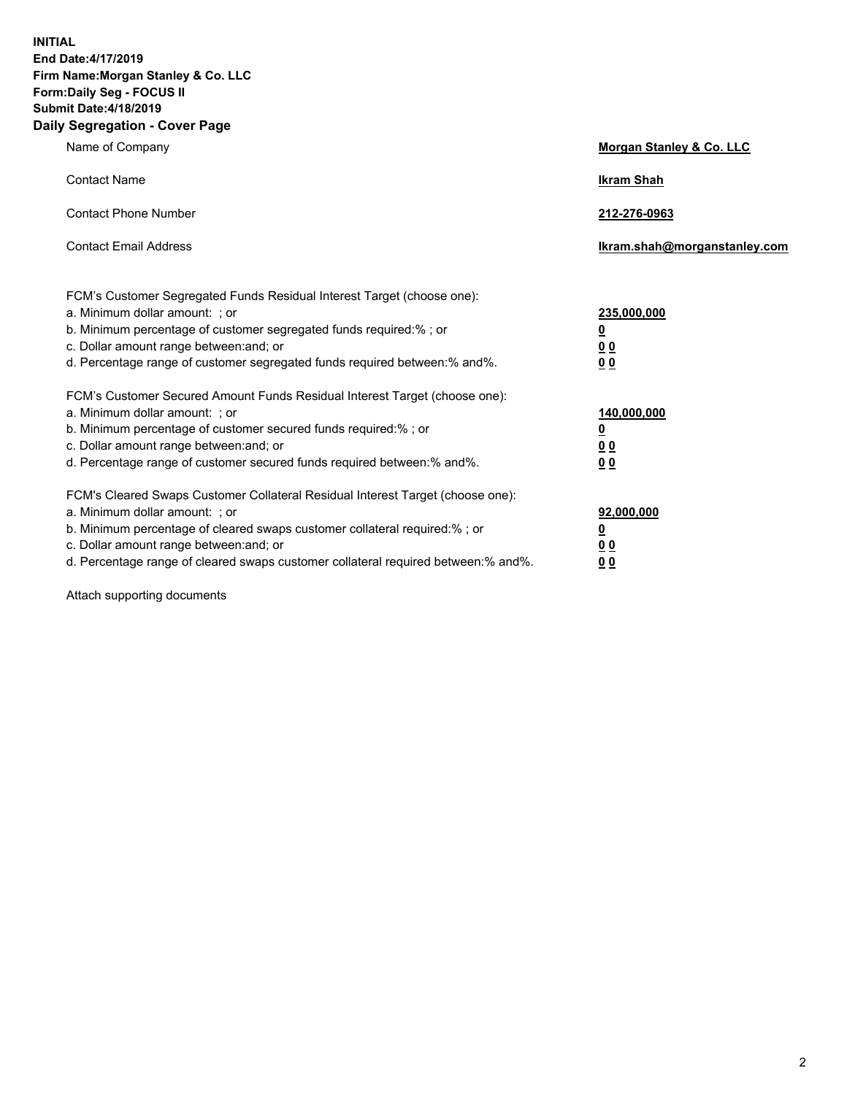**INITIAL End Date:4/17/2019 Firm Name:Morgan Stanley & Co. LLC Form:Daily Seg - FOCUS II Submit Date:4/18/2019 Daily Segregation - Cover Page**

| Name of Company                                                                                                                                                                                                                                                                                                                | Morgan Stanley & Co. LLC                               |
|--------------------------------------------------------------------------------------------------------------------------------------------------------------------------------------------------------------------------------------------------------------------------------------------------------------------------------|--------------------------------------------------------|
| <b>Contact Name</b>                                                                                                                                                                                                                                                                                                            | <b>Ikram Shah</b>                                      |
| <b>Contact Phone Number</b>                                                                                                                                                                                                                                                                                                    | 212-276-0963                                           |
| <b>Contact Email Address</b>                                                                                                                                                                                                                                                                                                   | Ikram.shah@morganstanley.com                           |
| FCM's Customer Segregated Funds Residual Interest Target (choose one):<br>a. Minimum dollar amount: ; or<br>b. Minimum percentage of customer segregated funds required:% ; or<br>c. Dollar amount range between: and; or<br>d. Percentage range of customer segregated funds required between:% and%.                         | 235,000,000<br><u>0</u><br><u>0 0</u><br>0 Q           |
| FCM's Customer Secured Amount Funds Residual Interest Target (choose one):<br>a. Minimum dollar amount: ; or<br>b. Minimum percentage of customer secured funds required:%; or<br>c. Dollar amount range between: and; or<br>d. Percentage range of customer secured funds required between:% and%.                            | 140,000,000<br><u>0</u><br><u>00</u><br>0 <sub>0</sub> |
| FCM's Cleared Swaps Customer Collateral Residual Interest Target (choose one):<br>a. Minimum dollar amount: ; or<br>b. Minimum percentage of cleared swaps customer collateral required:% ; or<br>c. Dollar amount range between: and; or<br>d. Percentage range of cleared swaps customer collateral required between:% and%. | 92,000,000<br><u>0</u><br><u>00</u><br>0 <sub>0</sub>  |

Attach supporting documents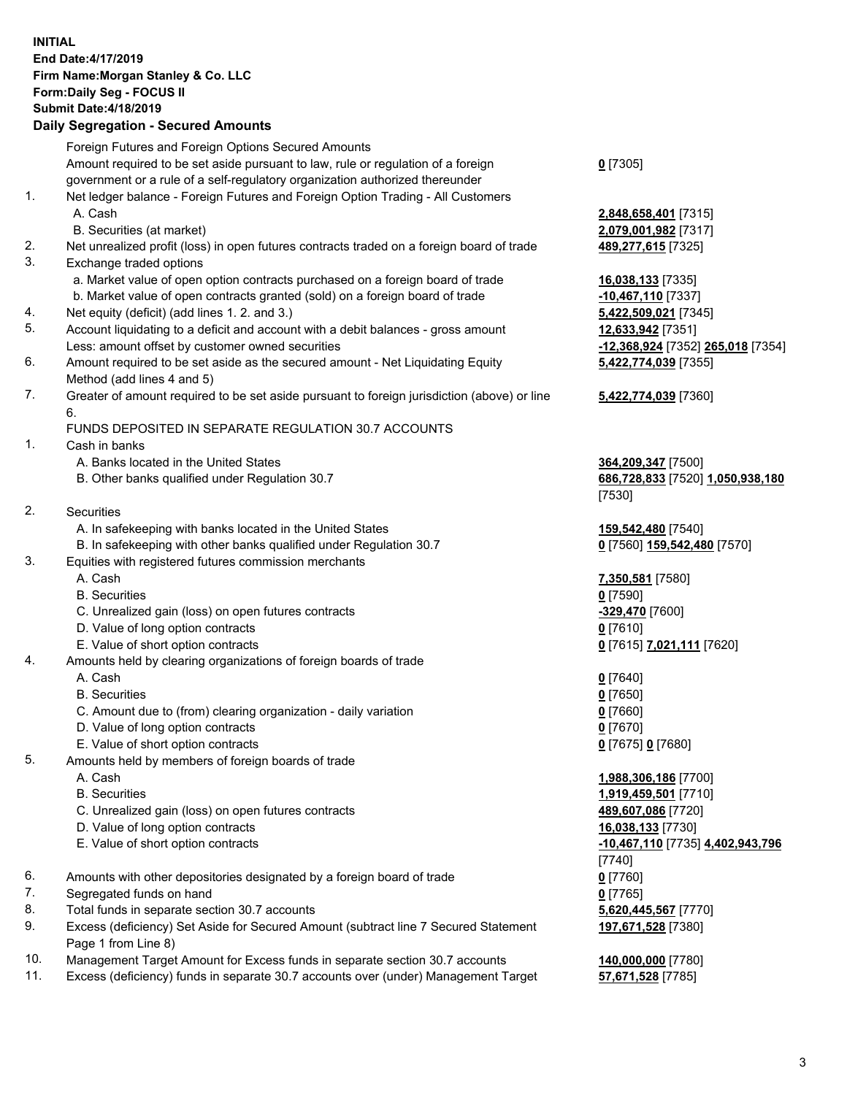## **INITIAL End Date:4/17/2019 Firm Name:Morgan Stanley & Co. LLC Form:Daily Seg - FOCUS II Submit Date:4/18/2019 Daily Segregation - Secured Amounts**

|    | Foreign Futures and Foreign Options Secured Amounts                                                                  |                          |
|----|----------------------------------------------------------------------------------------------------------------------|--------------------------|
|    | Amount required to be set aside pursuant to law, rule or regulation of a foreign                                     | $0$ [7305]               |
|    | government or a rule of a self-regulatory organization authorized thereunder                                         |                          |
| 1. | Net ledger balance - Foreign Futures and Foreign Option Trading - All Customers                                      |                          |
|    | A. Cash                                                                                                              | 2,848,658,401 [73        |
| 2. | B. Securities (at market)                                                                                            | 2,079,001,982 [73        |
| 3. | Net unrealized profit (loss) in open futures contracts traded on a foreign board of trade<br>Exchange traded options | 489,277,615 [7325        |
|    | a. Market value of open option contracts purchased on a foreign board of trade                                       | 16,038,133 [7335]        |
|    | b. Market value of open contracts granted (sold) on a foreign board of trade                                         | -10,467,110 [7337        |
| 4. | Net equity (deficit) (add lines 1.2. and 3.)                                                                         | 5,422,509,021 [73        |
| 5. | Account liquidating to a deficit and account with a debit balances - gross amount                                    | 12,633,942 [7351]        |
|    | Less: amount offset by customer owned securities                                                                     | -12,368,924 [7352        |
| 6. | Amount required to be set aside as the secured amount - Net Liquidating Equity                                       | 5,422,774,039 [73        |
|    | Method (add lines 4 and 5)                                                                                           |                          |
| 7. | Greater of amount required to be set aside pursuant to foreign jurisdiction (above) or line                          | 5,422,774,039 [73        |
|    | 6.                                                                                                                   |                          |
|    | FUNDS DEPOSITED IN SEPARATE REGULATION 30.7 ACCOUNTS                                                                 |                          |
| 1. | Cash in banks                                                                                                        |                          |
|    | A. Banks located in the United States                                                                                | 364,209,347 [7500        |
|    | B. Other banks qualified under Regulation 30.7                                                                       | 686,728,833 [7520        |
| 2. | Securities                                                                                                           | [7530]                   |
|    | A. In safekeeping with banks located in the United States                                                            | 159,542,480 [7540        |
|    | B. In safekeeping with other banks qualified under Regulation 30.7                                                   | <u>0</u> [7560] 159,542, |
| 3. | Equities with registered futures commission merchants                                                                |                          |
|    | A. Cash                                                                                                              | 7,350,581 [7580]         |
|    | <b>B.</b> Securities                                                                                                 | $0$ [7590]               |
|    | C. Unrealized gain (loss) on open futures contracts                                                                  | -329,470 [7600]          |
|    | D. Value of long option contracts                                                                                    | $0$ [7610]               |
|    | E. Value of short option contracts                                                                                   | 0 [7615] 7,021,11        |
| 4. | Amounts held by clearing organizations of foreign boards of trade                                                    |                          |
|    | A. Cash                                                                                                              | $0$ [7640]               |
|    | <b>B.</b> Securities                                                                                                 | $0$ [7650]               |
|    | C. Amount due to (from) clearing organization - daily variation                                                      | $0$ [7660]               |
|    | D. Value of long option contracts                                                                                    | $0$ [7670]               |
| 5. | E. Value of short option contracts<br>Amounts held by members of foreign boards of trade                             | 0 [7675] 0 [7680]        |
|    | A. Cash                                                                                                              | 1,988,306,186 [77        |
|    | <b>B.</b> Securities                                                                                                 | 1,919,459,501 [77        |
|    | C. Unrealized gain (loss) on open futures contracts                                                                  | 489,607,086 [7720        |
|    | D. Value of long option contracts                                                                                    | 16,038,133 [7730]        |
|    | E. Value of short option contracts                                                                                   | -10,467,110 [7735        |
|    |                                                                                                                      | [7740]                   |
| 6. | Amounts with other depositories designated by a foreign board of trade                                               | $0$ [7760]               |
| 7. | Segregated funds on hand                                                                                             | $0$ [7765]               |
| 8. | Total funds in separate section 30.7 accounts                                                                        | 5,620,445,567 [77        |
| 9. | Excess (deficiency) Set Aside for Secured Amount (subtract line 7 Secured Statement                                  | 197,671,528 [7380        |
|    | Page 1 from Line 8)                                                                                                  |                          |
|    |                                                                                                                      |                          |

- 10. Management Target Amount for Excess funds in separate section 30.7 accounts **140,000,000** [7780]
- 11. Excess (deficiency) funds in separate 30.7 accounts over (under) Management Target **57,671,528** [7785]

 A. Cash **2,848,658,401** [7315]  $9.982$  [7317] 2. Net 15 [7325] <mark>7,110</mark> [7337]

509,021 [7345] Less: amount offset by customer owned securities **-12,368,924** [7352] **265,018** [7354] **5,422,774,039** [7355]

## **5,422,774,039** [7360]

**9.347** [7500] B. Other banks qualified under Regulation 30.7 **686,728,833** [7520] **1,050,938,180**

**2,480** [7540] B. 159,542,480 [7570]

E. Value of short option contracts **0** [7615] **7,021,111** [7620]

 A. Cash **1,988,306,186** [7700] B. Securities **1,919,459,501** [7710] C. 27. D. 286 E. Value of short option contracts **-10,467,110** [7735] **4,402,943,796 445,567** [7770] **197,671,528** [7380]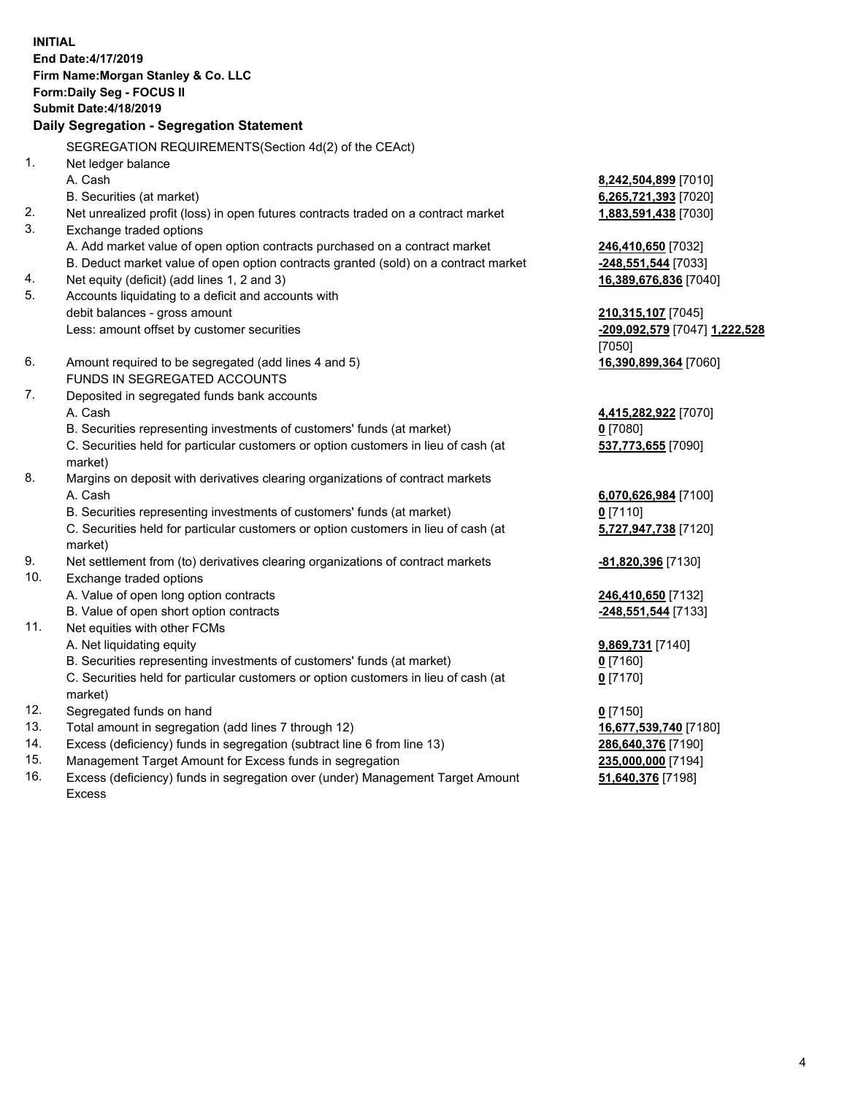**INITIAL End Date:4/17/2019 Firm Name:Morgan Stanley & Co. LLC Form:Daily Seg - FOCUS II Submit Date:4/18/2019 Daily Segregation - Segregation Statement** SEGREGATION REQUIREMENTS(Section 4d(2) of the CEAct) 1. Net ledger balance A. Cash **8,242,504,899** [7010] B. Securities (at market) **6,265,721,393** [7020] 2. Net unrealized profit (loss) in open futures contracts traded on a contract market **1,883,591,438** [7030] 3. Exchange traded options A. Add market value of open option contracts purchased on a contract market **246,410,650** [7032] B. Deduct market value of open option contracts granted (sold) on a contract market **-248,551,544** [7033] 4. Net equity (deficit) (add lines 1, 2 and 3) **16,389,676,836** [7040] 5. Accounts liquidating to a deficit and accounts with debit balances - gross amount **210,315,107** [7045] Less: amount offset by customer securities **-209,092,579** [7047] **1,222,528** [7050] 6. Amount required to be segregated (add lines 4 and 5) **16,390,899,364** [7060] FUNDS IN SEGREGATED ACCOUNTS 7. Deposited in segregated funds bank accounts A. Cash **4,415,282,922** [7070] B. Securities representing investments of customers' funds (at market) **0** [7080] C. Securities held for particular customers or option customers in lieu of cash (at market) **537,773,655** [7090] 8. Margins on deposit with derivatives clearing organizations of contract markets A. Cash **6,070,626,984** [7100] B. Securities representing investments of customers' funds (at market) **0** [7110] C. Securities held for particular customers or option customers in lieu of cash (at market) **5,727,947,738** [7120] 9. Net settlement from (to) derivatives clearing organizations of contract markets **-81,820,396** [7130] 10. Exchange traded options A. Value of open long option contracts **246,410,650** [7132] B. Value of open short option contracts **-248,551,544** [7133] 11. Net equities with other FCMs A. Net liquidating equity **9,869,731** [7140] B. Securities representing investments of customers' funds (at market) **0** [7160] C. Securities held for particular customers or option customers in lieu of cash (at market) **0** [7170] 12. Segregated funds on hand **0** [7150] 13. Total amount in segregation (add lines 7 through 12) **16,677,539,740** [7180] 14. Excess (deficiency) funds in segregation (subtract line 6 from line 13) **286,640,376** [7190]

- 15. Management Target Amount for Excess funds in segregation **235,000,000** [7194]
- 16. Excess (deficiency) funds in segregation over (under) Management Target Amount Excess

**51,640,376** [7198]